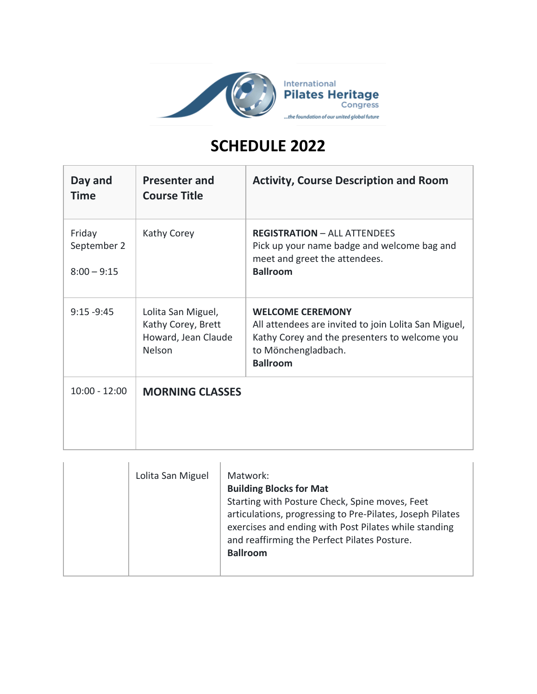

## **SCHEDULE 2022**

| Day and<br><b>Time</b>                 | <b>Presenter and</b><br><b>Course Title</b>                               | <b>Activity, Course Description and Room</b>                                                                                                                               |
|----------------------------------------|---------------------------------------------------------------------------|----------------------------------------------------------------------------------------------------------------------------------------------------------------------------|
| Friday<br>September 2<br>$8:00 - 9:15$ | Kathy Corey                                                               | <b>REGISTRATION - ALL ATTENDEES</b><br>Pick up your name badge and welcome bag and<br>meet and greet the attendees.<br><b>Ballroom</b>                                     |
| $9:15 - 9:45$                          | Lolita San Miguel,<br>Kathy Corey, Brett<br>Howard, Jean Claude<br>Nelson | <b>WELCOME CEREMONY</b><br>All attendees are invited to join Lolita San Miguel,<br>Kathy Corey and the presenters to welcome you<br>to Mönchengladbach.<br><b>Ballroom</b> |
| $10:00 - 12:00$                        | <b>MORNING CLASSES</b>                                                    |                                                                                                                                                                            |

| Lolita San Miguel | Matwork:<br><b>Building Blocks for Mat</b><br>Starting with Posture Check, Spine moves, Feet<br>articulations, progressing to Pre-Pilates, Joseph Pilates<br>exercises and ending with Post Pilates while standing<br>and reaffirming the Perfect Pilates Posture.<br><b>Ballroom</b> |
|-------------------|---------------------------------------------------------------------------------------------------------------------------------------------------------------------------------------------------------------------------------------------------------------------------------------|
|-------------------|---------------------------------------------------------------------------------------------------------------------------------------------------------------------------------------------------------------------------------------------------------------------------------------|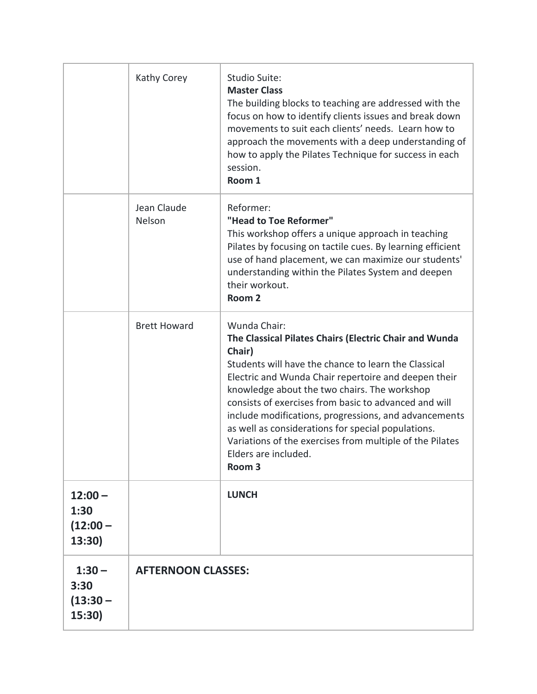|                                           | Kathy Corey               | Studio Suite:<br><b>Master Class</b><br>The building blocks to teaching are addressed with the<br>focus on how to identify clients issues and break down<br>movements to suit each clients' needs. Learn how to<br>approach the movements with a deep understanding of<br>how to apply the Pilates Technique for success in each<br>session.<br>Room 1                                                                                                                                                                            |
|-------------------------------------------|---------------------------|-----------------------------------------------------------------------------------------------------------------------------------------------------------------------------------------------------------------------------------------------------------------------------------------------------------------------------------------------------------------------------------------------------------------------------------------------------------------------------------------------------------------------------------|
|                                           | Jean Claude<br>Nelson     | Reformer:<br>"Head to Toe Reformer"<br>This workshop offers a unique approach in teaching<br>Pilates by focusing on tactile cues. By learning efficient<br>use of hand placement, we can maximize our students'<br>understanding within the Pilates System and deepen<br>their workout.<br>Room <sub>2</sub>                                                                                                                                                                                                                      |
|                                           | <b>Brett Howard</b>       | Wunda Chair:<br>The Classical Pilates Chairs (Electric Chair and Wunda<br>Chair)<br>Students will have the chance to learn the Classical<br>Electric and Wunda Chair repertoire and deepen their<br>knowledge about the two chairs. The workshop<br>consists of exercises from basic to advanced and will<br>include modifications, progressions, and advancements<br>as well as considerations for special populations.<br>Variations of the exercises from multiple of the Pilates<br>Elders are included.<br>Room <sub>3</sub> |
| $12:00 -$<br>1:30<br>$(12:00 -$<br>13:30) |                           | <b>LUNCH</b>                                                                                                                                                                                                                                                                                                                                                                                                                                                                                                                      |
| $1:30 -$<br>3:30<br>$(13:30 -$<br>15:30)  | <b>AFTERNOON CLASSES:</b> |                                                                                                                                                                                                                                                                                                                                                                                                                                                                                                                                   |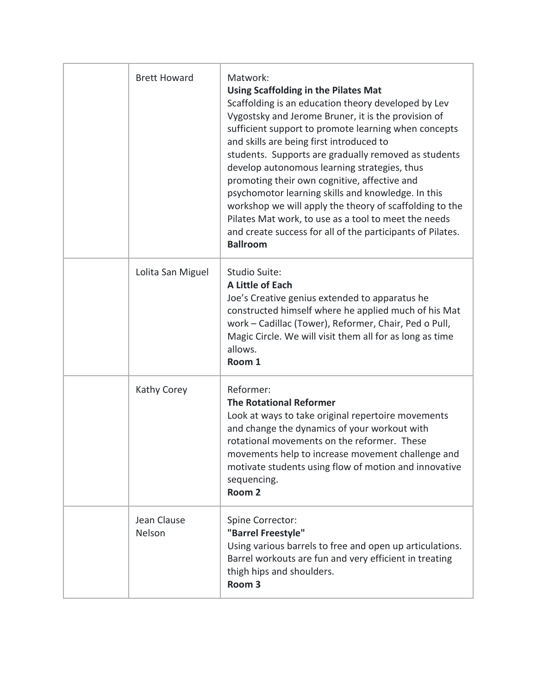| <b>Brett Howard</b>   | Matwork:<br><b>Using Scaffolding in the Pilates Mat</b><br>Scaffolding is an education theory developed by Lev<br>Vygostsky and Jerome Bruner, it is the provision of<br>sufficient support to promote learning when concepts<br>and skills are being first introduced to<br>students. Supports are gradually removed as students<br>develop autonomous learning strategies, thus<br>promoting their own cognitive, affective and<br>psychomotor learning skills and knowledge. In this<br>workshop we will apply the theory of scaffolding to the<br>Pilates Mat work, to use as a tool to meet the needs<br>and create success for all of the participants of Pilates.<br><b>Ballroom</b> |
|-----------------------|---------------------------------------------------------------------------------------------------------------------------------------------------------------------------------------------------------------------------------------------------------------------------------------------------------------------------------------------------------------------------------------------------------------------------------------------------------------------------------------------------------------------------------------------------------------------------------------------------------------------------------------------------------------------------------------------|
| Lolita San Miguel     | Studio Suite:<br>A Little of Each<br>Joe's Creative genius extended to apparatus he<br>constructed himself where he applied much of his Mat<br>work - Cadillac (Tower), Reformer, Chair, Ped o Pull,<br>Magic Circle. We will visit them all for as long as time<br>allows.<br>Room 1                                                                                                                                                                                                                                                                                                                                                                                                       |
| Kathy Corey           | Reformer:<br><b>The Rotational Reformer</b><br>Look at ways to take original repertoire movements<br>and change the dynamics of your workout with<br>rotational movements on the reformer. These<br>movements help to increase movement challenge and<br>motivate students using flow of motion and innovative<br>sequencing.<br>Room <sub>2</sub>                                                                                                                                                                                                                                                                                                                                          |
| Jean Clause<br>Nelson | Spine Corrector:<br>"Barrel Freestyle"<br>Using various barrels to free and open up articulations.<br>Barrel workouts are fun and very efficient in treating<br>thigh hips and shoulders.<br>Room <sub>3</sub>                                                                                                                                                                                                                                                                                                                                                                                                                                                                              |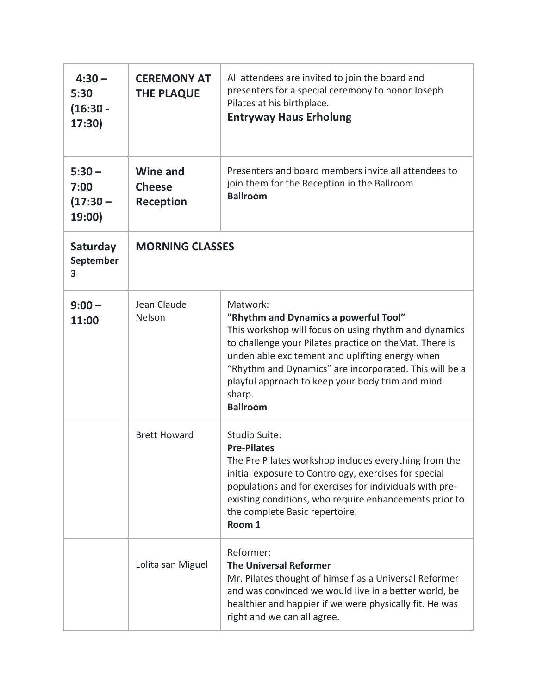| $4:30 -$<br>5:30<br>$(16:30 -$<br>17:30) | <b>CEREMONY AT</b><br><b>THE PLAQUE</b>              | All attendees are invited to join the board and<br>presenters for a special ceremony to honor Joseph<br>Pilates at his birthplace.<br><b>Entryway Haus Erholung</b>                                                                                                                                                                                                |
|------------------------------------------|------------------------------------------------------|--------------------------------------------------------------------------------------------------------------------------------------------------------------------------------------------------------------------------------------------------------------------------------------------------------------------------------------------------------------------|
| $5:30 -$<br>7:00<br>$(17:30 -$<br>19:00) | <b>Wine and</b><br><b>Cheese</b><br><b>Reception</b> | Presenters and board members invite all attendees to<br>join them for the Reception in the Ballroom<br><b>Ballroom</b>                                                                                                                                                                                                                                             |
| Saturday<br>September<br>3               | <b>MORNING CLASSES</b>                               |                                                                                                                                                                                                                                                                                                                                                                    |
| $9:00 -$<br>11:00                        | Jean Claude<br>Nelson                                | Matwork:<br>"Rhythm and Dynamics a powerful Tool"<br>This workshop will focus on using rhythm and dynamics<br>to challenge your Pilates practice on theMat. There is<br>undeniable excitement and uplifting energy when<br>"Rhythm and Dynamics" are incorporated. This will be a<br>playful approach to keep your body trim and mind<br>sharp.<br><b>Ballroom</b> |
|                                          | <b>Brett Howard</b>                                  | Studio Suite:<br><b>Pre-Pilates</b><br>The Pre Pilates workshop includes everything from the<br>initial exposure to Contrology, exercises for special<br>populations and for exercises for individuals with pre-<br>existing conditions, who require enhancements prior to<br>the complete Basic repertoire.<br>Room 1                                             |
|                                          | Lolita san Miguel                                    | Reformer:<br><b>The Universal Reformer</b><br>Mr. Pilates thought of himself as a Universal Reformer<br>and was convinced we would live in a better world, be<br>healthier and happier if we were physically fit. He was<br>right and we can all agree.                                                                                                            |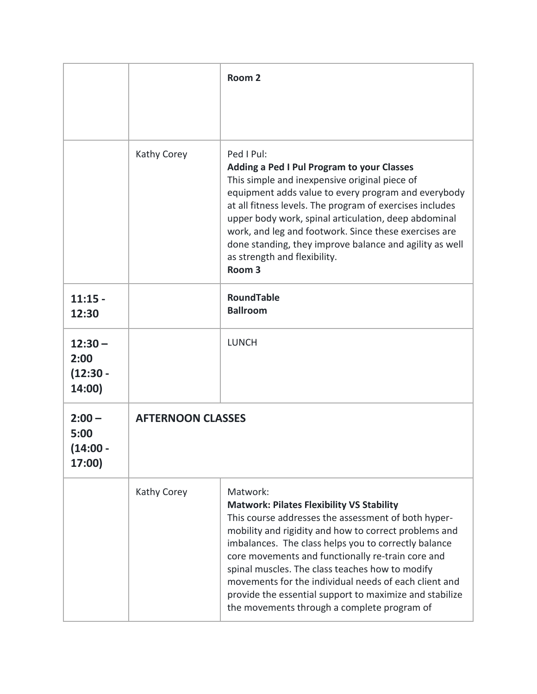|                                           |                          | Room <sub>2</sub>                                                                                                                                                                                                                                                                                                                                                                                                                                                                                               |  |
|-------------------------------------------|--------------------------|-----------------------------------------------------------------------------------------------------------------------------------------------------------------------------------------------------------------------------------------------------------------------------------------------------------------------------------------------------------------------------------------------------------------------------------------------------------------------------------------------------------------|--|
|                                           |                          |                                                                                                                                                                                                                                                                                                                                                                                                                                                                                                                 |  |
|                                           | Kathy Corey              | Ped I Pul:<br>Adding a Ped I Pul Program to your Classes<br>This simple and inexpensive original piece of<br>equipment adds value to every program and everybody<br>at all fitness levels. The program of exercises includes<br>upper body work, spinal articulation, deep abdominal<br>work, and leg and footwork. Since these exercises are<br>done standing, they improve balance and agility as well<br>as strength and flexibility.<br>Room <sub>3</sub>                                                   |  |
| $11:15 -$<br>12:30                        |                          | <b>RoundTable</b><br><b>Ballroom</b>                                                                                                                                                                                                                                                                                                                                                                                                                                                                            |  |
| $12:30 -$<br>2:00<br>$(12:30 -$<br>14:00) |                          | <b>LUNCH</b>                                                                                                                                                                                                                                                                                                                                                                                                                                                                                                    |  |
| $2:00 -$<br>5:00<br>(14:00 -<br>17:00)    | <b>AFTERNOON CLASSES</b> |                                                                                                                                                                                                                                                                                                                                                                                                                                                                                                                 |  |
|                                           | Kathy Corey              | Matwork:<br><b>Matwork: Pilates Flexibility VS Stability</b><br>This course addresses the assessment of both hyper-<br>mobility and rigidity and how to correct problems and<br>imbalances. The class helps you to correctly balance<br>core movements and functionally re-train core and<br>spinal muscles. The class teaches how to modify<br>movements for the individual needs of each client and<br>provide the essential support to maximize and stabilize<br>the movements through a complete program of |  |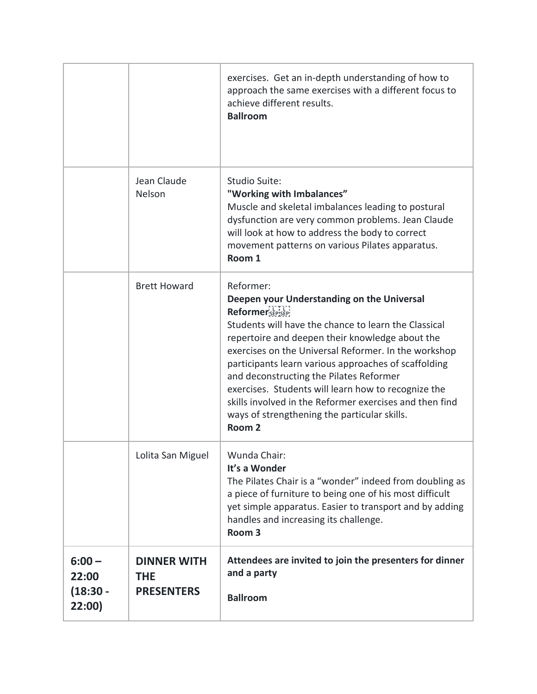|                                           |                                                       | exercises. Get an in-depth understanding of how to<br>approach the same exercises with a different focus to<br>achieve different results.<br><b>Ballroom</b>                                                                                                                                                                                                                                                                                                                                                                              |
|-------------------------------------------|-------------------------------------------------------|-------------------------------------------------------------------------------------------------------------------------------------------------------------------------------------------------------------------------------------------------------------------------------------------------------------------------------------------------------------------------------------------------------------------------------------------------------------------------------------------------------------------------------------------|
|                                           | Jean Claude<br>Nelson                                 | Studio Suite:<br>"Working with Imbalances"<br>Muscle and skeletal imbalances leading to postural<br>dysfunction are very common problems. Jean Claude<br>will look at how to address the body to correct<br>movement patterns on various Pilates apparatus.<br>Room 1                                                                                                                                                                                                                                                                     |
|                                           | <b>Brett Howard</b>                                   | Reformer:<br>Deepen your Understanding on the Universal<br>Reformer SEP SEP!<br>Students will have the chance to learn the Classical<br>repertoire and deepen their knowledge about the<br>exercises on the Universal Reformer. In the workshop<br>participants learn various approaches of scaffolding<br>and deconstructing the Pilates Reformer<br>exercises. Students will learn how to recognize the<br>skills involved in the Reformer exercises and then find<br>ways of strengthening the particular skills.<br>Room <sub>2</sub> |
|                                           | Lolita San Miguel                                     | Wunda Chair:<br>It's a Wonder<br>The Pilates Chair is a "wonder" indeed from doubling as<br>a piece of furniture to being one of his most difficult<br>yet simple apparatus. Easier to transport and by adding<br>handles and increasing its challenge.<br>Room <sub>3</sub>                                                                                                                                                                                                                                                              |
| $6:00 -$<br>22:00<br>$(18:30 -$<br>22:00) | <b>DINNER WITH</b><br><b>THE</b><br><b>PRESENTERS</b> | Attendees are invited to join the presenters for dinner<br>and a party<br><b>Ballroom</b>                                                                                                                                                                                                                                                                                                                                                                                                                                                 |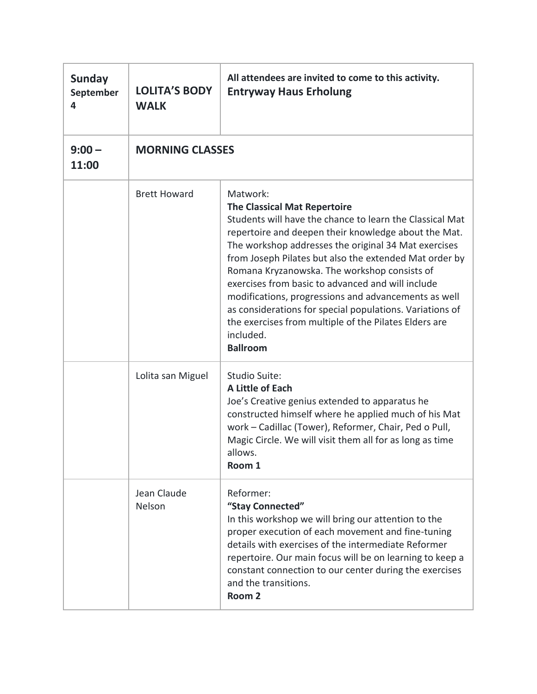| <b>Sunday</b><br>September<br>4 | <b>LOLITA'S BODY</b><br><b>WALK</b> | All attendees are invited to come to this activity.<br><b>Entryway Haus Erholung</b>                                                                                                                                                                                                                                                                                                                                                                                                                                                                                                                    |
|---------------------------------|-------------------------------------|---------------------------------------------------------------------------------------------------------------------------------------------------------------------------------------------------------------------------------------------------------------------------------------------------------------------------------------------------------------------------------------------------------------------------------------------------------------------------------------------------------------------------------------------------------------------------------------------------------|
| $9:00 -$<br>11:00               | <b>MORNING CLASSES</b>              |                                                                                                                                                                                                                                                                                                                                                                                                                                                                                                                                                                                                         |
|                                 | <b>Brett Howard</b>                 | Matwork:<br><b>The Classical Mat Repertoire</b><br>Students will have the chance to learn the Classical Mat<br>repertoire and deepen their knowledge about the Mat.<br>The workshop addresses the original 34 Mat exercises<br>from Joseph Pilates but also the extended Mat order by<br>Romana Kryzanowska. The workshop consists of<br>exercises from basic to advanced and will include<br>modifications, progressions and advancements as well<br>as considerations for special populations. Variations of<br>the exercises from multiple of the Pilates Elders are<br>included.<br><b>Ballroom</b> |
|                                 | Lolita san Miguel                   | Studio Suite:<br>A Little of Each<br>Joe's Creative genius extended to apparatus he<br>constructed himself where he applied much of his Mat<br>work - Cadillac (Tower), Reformer, Chair, Ped o Pull,<br>Magic Circle. We will visit them all for as long as time<br>allows<br>Room 1                                                                                                                                                                                                                                                                                                                    |
|                                 | Jean Claude<br><b>Nelson</b>        | Reformer:<br>"Stay Connected"<br>In this workshop we will bring our attention to the<br>proper execution of each movement and fine-tuning<br>details with exercises of the intermediate Reformer<br>repertoire. Our main focus will be on learning to keep a<br>constant connection to our center during the exercises<br>and the transitions.<br>Room <sub>2</sub>                                                                                                                                                                                                                                     |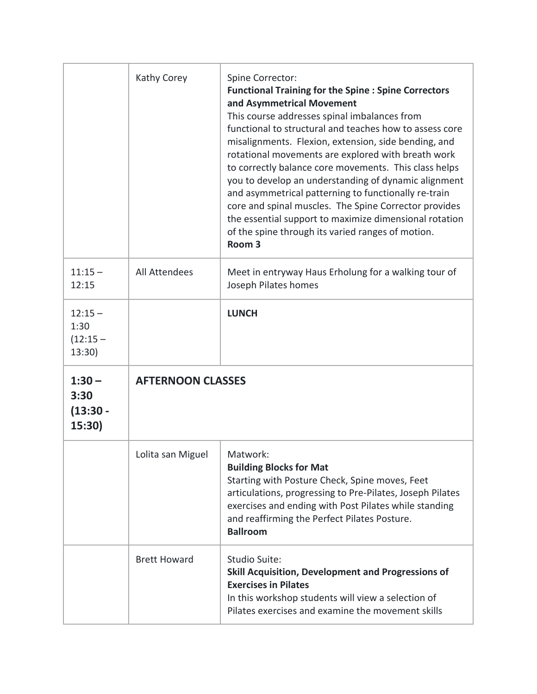|                                           | Kathy Corey              | Spine Corrector:<br><b>Functional Training for the Spine : Spine Correctors</b><br>and Asymmetrical Movement<br>This course addresses spinal imbalances from<br>functional to structural and teaches how to assess core<br>misalignments. Flexion, extension, side bending, and<br>rotational movements are explored with breath work<br>to correctly balance core movements. This class helps<br>you to develop an understanding of dynamic alignment<br>and asymmetrical patterning to functionally re-train<br>core and spinal muscles. The Spine Corrector provides<br>the essential support to maximize dimensional rotation<br>of the spine through its varied ranges of motion.<br>Room <sub>3</sub> |
|-------------------------------------------|--------------------------|-------------------------------------------------------------------------------------------------------------------------------------------------------------------------------------------------------------------------------------------------------------------------------------------------------------------------------------------------------------------------------------------------------------------------------------------------------------------------------------------------------------------------------------------------------------------------------------------------------------------------------------------------------------------------------------------------------------|
| $11:15 -$<br>12:15                        | <b>All Attendees</b>     | Meet in entryway Haus Erholung for a walking tour of<br>Joseph Pilates homes                                                                                                                                                                                                                                                                                                                                                                                                                                                                                                                                                                                                                                |
| $12:15 -$<br>1:30<br>$(12:15 -$<br>13:30) |                          | <b>LUNCH</b>                                                                                                                                                                                                                                                                                                                                                                                                                                                                                                                                                                                                                                                                                                |
| $1:30 -$<br>3:30                          | <b>AFTERNOON CLASSES</b> |                                                                                                                                                                                                                                                                                                                                                                                                                                                                                                                                                                                                                                                                                                             |
| $(13:30 -$<br>15:30)                      |                          |                                                                                                                                                                                                                                                                                                                                                                                                                                                                                                                                                                                                                                                                                                             |
|                                           | Lolita san Miguel        | Matwork:<br><b>Building Blocks for Mat</b><br>Starting with Posture Check, Spine moves, Feet<br>articulations, progressing to Pre-Pilates, Joseph Pilates<br>exercises and ending with Post Pilates while standing<br>and reaffirming the Perfect Pilates Posture.<br><b>Ballroom</b>                                                                                                                                                                                                                                                                                                                                                                                                                       |